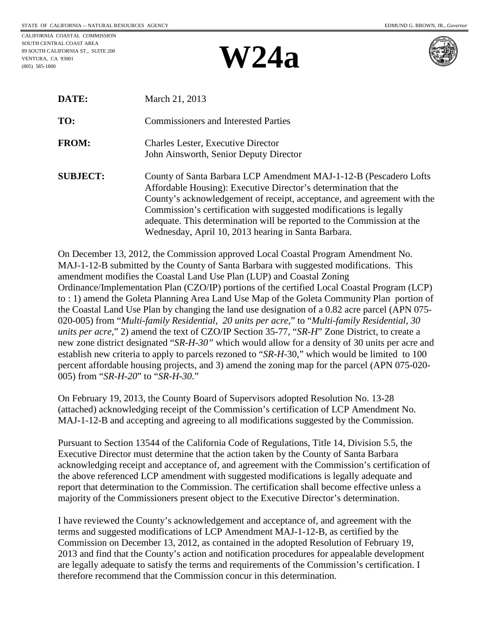CALIFORNIA COASTAL COMMISSION SOUTH CENTRAL COAST AREA 89 SOUTH CALIFORNIA ST., SUITE 200 VENTURA, CA 93001 (805) 585-1800

## **W24a**





| DATE:           | March 21, 2013                                                                                                                                                                                                                                                                                                                                                    |
|-----------------|-------------------------------------------------------------------------------------------------------------------------------------------------------------------------------------------------------------------------------------------------------------------------------------------------------------------------------------------------------------------|
| TO:             | <b>Commissioners and Interested Parties</b>                                                                                                                                                                                                                                                                                                                       |
| <b>FROM:</b>    | <b>Charles Lester, Executive Director</b><br>John Ainsworth, Senior Deputy Director                                                                                                                                                                                                                                                                               |
| <b>SUBJECT:</b> | County of Santa Barbara LCP Amendment MAJ-1-12-B (Pescadero Lofts)<br>Affordable Housing): Executive Director's determination that the<br>County's acknowledgement of receipt, acceptance, and agreement with the<br>Commission's certification with suggested modifications is legally<br>adequate. This determination will be reported to the Commission at the |

On December 13, 2012, the Commission approved Local Coastal Program Amendment No. MAJ-1-12-B submitted by the County of Santa Barbara with suggested modifications. This amendment modifies the Coastal Land Use Plan (LUP) and Coastal Zoning Ordinance/Implementation Plan (CZO/IP) portions of the certified Local Coastal Program (LCP) to : 1) amend the Goleta Planning Area Land Use Map of the Goleta Community Plan portion of the Coastal Land Use Plan by changing the land use designation of a 0.82 acre parcel (APN 075- 020-005) from "*Multi-family Residential, 20 units per acre*," to "*Multi-family Residential, 30 units per acre*," 2) amend the text of CZO/IP Section 35-77, "*SR-H*" Zone District, to create a new zone district designated "*SR-H-30"* which would allow for a density of 30 units per acre and establish new criteria to apply to parcels rezoned to "*SR-H-*30," which would be limited to 100 percent affordable housing projects, and 3) amend the zoning map for the parcel (APN 075-020- 005) from "*SR-H-20*" to "*SR-H-30*."

Wednesday, April 10, 2013 hearing in Santa Barbara.

On February 19, 2013, the County Board of Supervisors adopted Resolution No. 13-28 (attached) acknowledging receipt of the Commission's certification of LCP Amendment No. MAJ-1-12-B and accepting and agreeing to all modifications suggested by the Commission.

Pursuant to Section 13544 of the California Code of Regulations, Title 14, Division 5.5, the Executive Director must determine that the action taken by the County of Santa Barbara acknowledging receipt and acceptance of, and agreement with the Commission's certification of the above referenced LCP amendment with suggested modifications is legally adequate and report that determination to the Commission. The certification shall become effective unless a majority of the Commissioners present object to the Executive Director's determination.

I have reviewed the County's acknowledgement and acceptance of, and agreement with the terms and suggested modifications of LCP Amendment MAJ-1-12-B, as certified by the Commission on December 13, 2012, as contained in the adopted Resolution of February 19, 2013 and find that the County's action and notification procedures for appealable development are legally adequate to satisfy the terms and requirements of the Commission's certification. I therefore recommend that the Commission concur in this determination.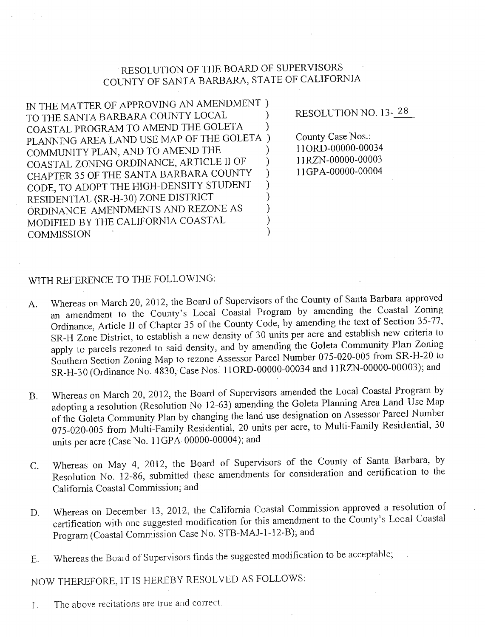## RESOLUTION OF THE BOARD OF SUPERVISORS COUNTY OF SANTA BARBARA, STATE OF CALIFORNIA

IN THE MATTER OF APPROVING AN AMENDMENT ) TO THE SANTA BARBARA COUNTY LOCAL COASTAL PROGRAM TO AMEND THE GOLETA  $\mathcal{E}$ PLANNING AREA LAND USE MAP OF THE GOLETA ) COMMUNITY PLAN, AND TO AMEND THE  $\lambda$ COASTAL ZONING ORDINANCE, ARTICLE II OF  $\mathcal{E}$ CHAPTER 35 OF THE SANTA BARBARA COUNTY  $\mathcal{E}$ CODE, TO ADOPT THE HIGH-DENSITY STUDENT  $\lambda$ RESIDENTIAL (SR-H-30) ZONE DISTRICT  $\mathcal{E}$ ORDINANCE AMENDMENTS AND REZONE AS  $\mathcal{E}$ MODIFIED BY THE CALIFORNIA COASTAL **COMMISSION** 

RESOLUTION NO. 13-28

County Case Nos.: 11ORD-00000-00034 11RZN-00000-00003 11GPA-00000-00004

## WITH REFERENCE TO THE FOLLOWING:

- Whereas on March 20, 2012, the Board of Supervisors of the County of Santa Barbara approved A. an amendment to the County's Local Coastal Program by amending the Coastal Zoning Ordinance, Article II of Chapter 35 of the County Code, by amending the text of Section 35-77, SR-H Zone District, to establish a new density of 30 units per acre and establish new criteria to apply to parcels rezoned to said density, and by amending the Goleta Community Plan Zoning Southern Section Zoning Map to rezone Assessor Parcel Number 075-020-005 from SR-H-20 to SR-H-30 (Ordinance No. 4830, Case Nos. 11ORD-00000-00034 and 11RZN-00000-00003); and
- Whereas on March 20, 2012, the Board of Supervisors amended the Local Coastal Program by **B.** adopting a resolution (Resolution No 12-63) amending the Goleta Planning Area Land Use Map of the Goleta Community Plan by changing the land use designation on Assessor Parcel Number 075-020-005 from Multi-Family Residential, 20 units per acre, to Multi-Family Residential, 30 units per acre (Case No. 11GPA-00000-00004); and
- Whereas on May 4, 2012, the Board of Supervisors of the County of Santa Barbara, by C. Resolution No. 12-86, submitted these amendments for consideration and certification to the California Coastal Commission; and
- Whereas on December 13, 2012, the California Coastal Commission approved a resolution of D. certification with one suggested modification for this amendment to the County's Local Coastal Program (Coastal Commission Case No. STB-MAJ-1-12-B); and
- Whereas the Board of Supervisors finds the suggested modification to be acceptable;  $E_{\cdot}$

NOW THEREFORE, IT IS HEREBY RESOLVED AS FOLLOWS:

The above recitations are true and correct.  $\mathbf{1}$ .